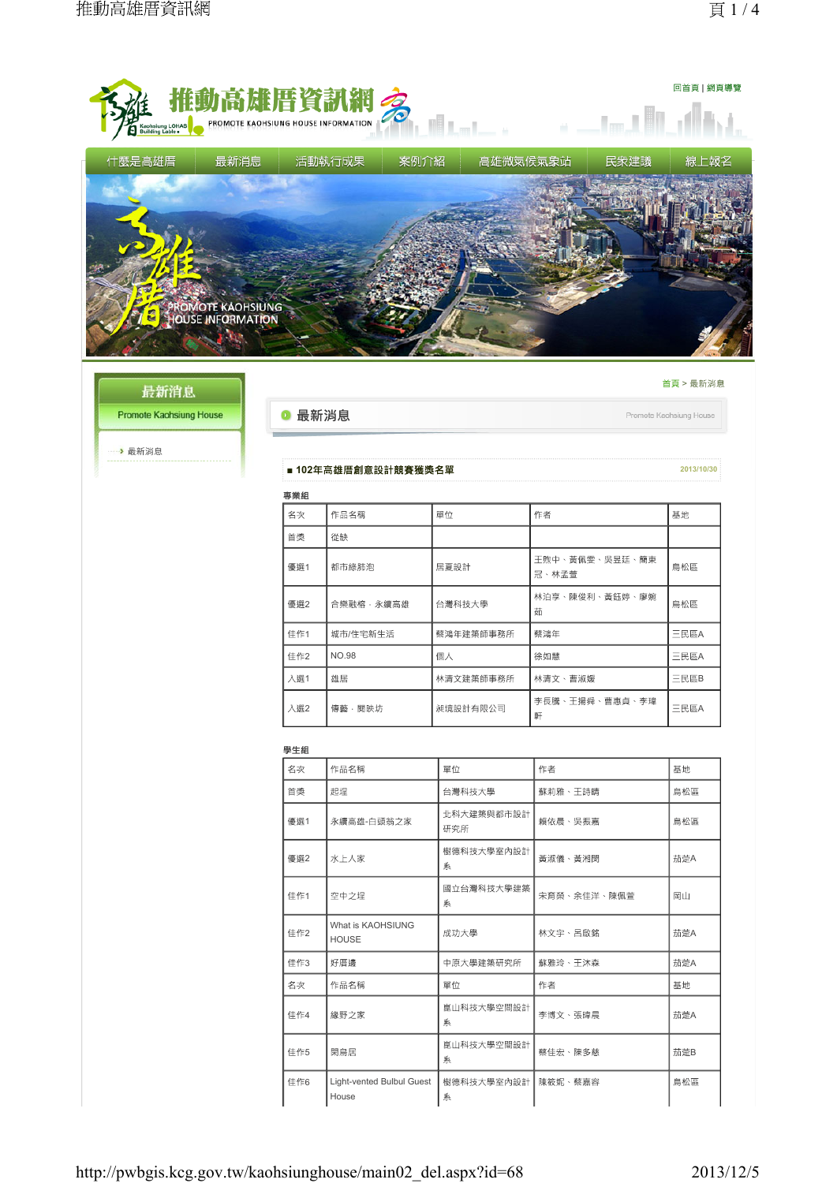



## 首頁 > 最新消息

Promote Kaohsiung House

最新消息

Promote Kaohsiung House

… ▶ 最新消息

● 最新消息

در سرد

# **2013/10/30**

| 寻未⁄地 |              |           |                         |      |
|------|--------------|-----------|-------------------------|------|
| 名次   | 作品名稱         | 單位        | 作者                      | 基地   |
| 首獎   | 從缺           |           |                         |      |
| 優選1  | 都市綠肺泡        | 居夏設計      | 王煦中、黃佩雯、吳昱廷、簡東<br>冠、林孟萱 | 鳥松區  |
| 優選2  | 合樂融榕・永續高雄    | 台灣科技大學    | 林泊享、陳俊利、黃鈺婷、廖婉<br>茹     | 鳥松區  |
| Ⅰ佳作1 | 城市/住宅新生活     | 蔡鴻年建築師事務所 | 蔡鴻年                     | 三民區A |
| Ⅰ佳作2 | <b>NO.98</b> | 個人        | 徐如慧                     | 三民區A |
| 人選1  | 雄居           | 林清文建築師事務所 | 林清文、曹淑媛                 | 三民區B |
| ┃入選2 | 傳藝·閱映坊       | 昶境設計有限公司  | 李長騰、王揚舜、曹惠貞、李瑋<br>軒     | 三民區A |

## 學生組

| 名次  | 作品名稱                               | 單位                | 作者          | 基地  |
|-----|------------------------------------|-------------------|-------------|-----|
| 首獎  | 起焊                                 | 台灣科技大學            | 蘇莉雅、王詩晴     | 鳥松區 |
| 優選1 | 永續高雄-白頭翁之家                         | 北科大建築與都市設計<br>研究所 | 賴依晨、吳振嘉     | 鳥松區 |
| 優選2 | 水上人家                               | 樹德科技大學室內設計<br>系   | 黃淑儀、黃湘閔     | 茄萣A |
| 佳作1 | 空中之埕                               | 國立台灣科技大學建築<br>系   | 宋育榮、余佳洋、陳佩菅 | 岡山  |
| 佳作2 | What is KAOHSIUNG<br><b>HOUSE</b>  | 成功大學              | 林文宇、呂啟銘     | 茄萣A |
| 佳作3 | 好厝邊                                | 中原大學建築研究所         | 蘇雅玲、干沐森     | 茄萣A |
| 名次  | 作品名稱                               | 單位                | 作者          | 基地  |
| 佳作4 | 綠野之家                               | 崑山科技大學空間設計<br>系   | 李博文、張瞳晨     | 茄萣A |
| 佳作5 | 閑鳥居                                | 崑山科技大學空間設計<br>系   | 蔡佳宏、陳多慈     | 茄萣B |
| 佳作6 | Light-vented Bulbul Guest<br>House | 樹德科技大學室內設計<br>系   | 陳筱妮、蔡嘉容     | 鳥松區 |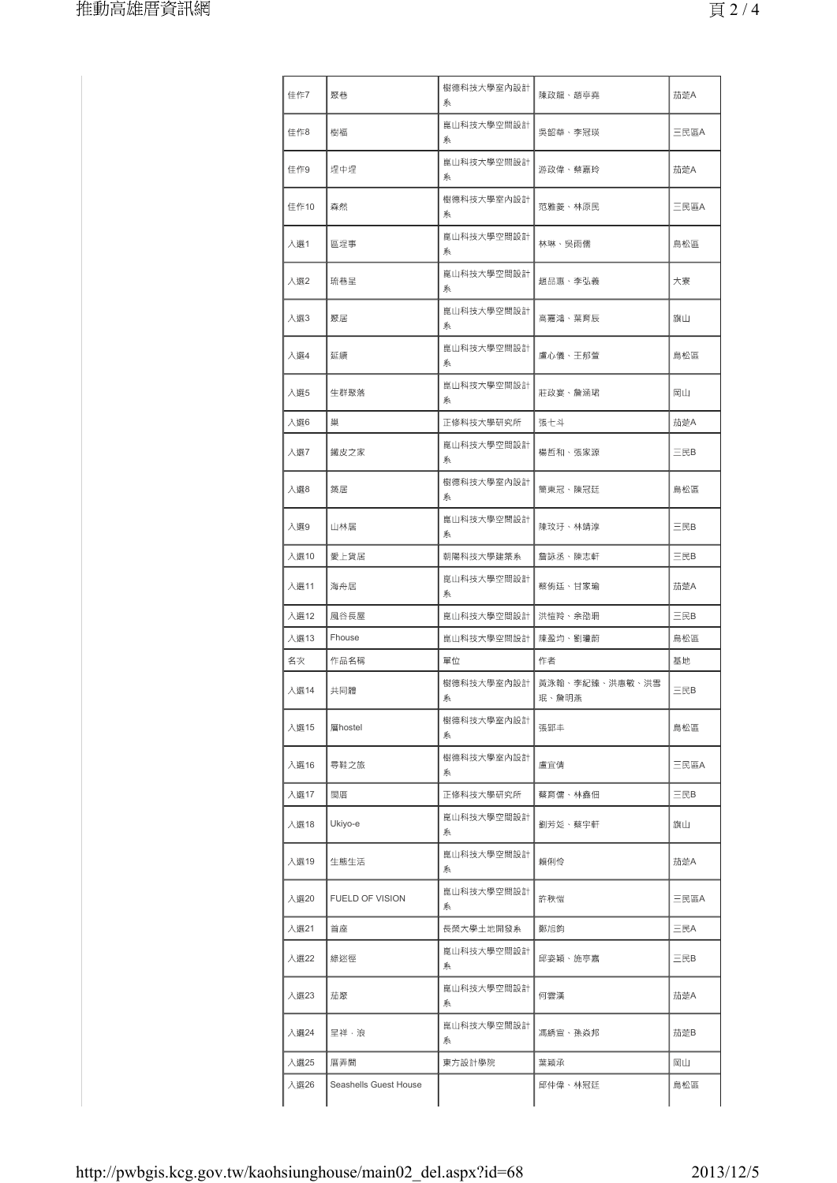| 樹德科技大學室內設計<br>佳作7<br>聚巷<br>陳政龍、趙亭堯<br>茄萣A<br>系<br>崑山科技大學空間設計<br>佳作8<br>樹福<br>吳韶華、李冠瑛<br>三民區A<br>系<br>崑山科技大學空間設計<br>佳作9<br>埕中埕<br>游政偉、蔡嘉玲<br>茄萣A<br>系<br>樹德科技大學室內設計<br>佳作10<br>森然<br>范雅菱、林原民<br>三民區A<br>系<br>崑山科技大學空間設計<br>林琳、吴雨儒<br>入選1<br>區埕事<br>鳥松區<br>系<br>崑山科技大學空間設計<br>趙品惠、李弘義<br>入選2<br>琉巷呈<br>大寮<br>系<br>崑山科技大學空間設計<br>入選3<br>聚居<br>高嘉鴻、葉育辰<br>旗山<br>系<br>崑山科技大學空間設計<br>入選4<br>延續<br>盧心儀、王郁萱<br>鳥松區<br>系<br>崑山科技大學空間設計<br>入選5<br>莊政宴、詹涵珺<br>岡山<br>生群聚落<br>系<br>入選6<br>張七斗<br>茄萣A<br>巢<br>正修科技大學研究所<br>崑山科技大學空間設計<br>入選7<br>楊哲和、張家源<br>三民B<br>鐵皮之家<br>系<br>樹德科技大學室內設計<br>入選8<br>簡東冠、陳冠廷<br>鳥松區<br>築居<br>系<br>崑山科技大學空間設計<br>入選9<br>陳玟玗、林靖淳<br>三民B<br>山林居<br>系<br>三民B<br>入選10<br>愛上貨居<br>朝陽科技大學建築系<br>詹詠丞、陳志軒<br>崑山科技大學空間設計<br>入選11<br>海舟居<br>蔡侑廷、甘家瑜<br>茄萣A<br>系<br>三民B<br>入選12<br>風谷長屋<br>崑山科技大學空間設計<br>洪愷羚、余劭珊<br>入選13<br>Fhouse<br>陳盈均、劉瓊蔚<br>崑山科技大學空間設計<br>鳥松區<br>名次<br>作品名稱<br>單位<br>作者<br>基地<br>樹德科技大學室內設計<br>黃泳翰、李紀臻、洪惠敏、洪雪<br>入選14<br>共同體<br>三民B<br>珉、詹明燕<br>系<br>樹德科技大學室內設計<br>入選15<br>張郢丰<br>鳥松區<br>層hostel<br>系<br>樹德科技大學室內設計<br>三民區A<br>入選16<br>尋鞋之旅<br>盧宜倩<br>系<br>三民B<br>入選17<br>閩厝<br>正修科技大學研究所<br>蔡育儒、林鑫佃<br>崑山科技大學空間設計<br>Ukiyo-e<br>旗山<br>入選18<br>劉芳彣、蔡宇軒<br>系<br>崑山科技大學空間設計<br>入選19<br>生態生活<br>賴俐伶<br>茄萣A<br>系<br>崑山科技大學空間設計<br>三民區A<br>FUELD OF VISION<br>入選20<br>許秩愷<br>系<br>入選21<br>長榮大學土地開發系<br>鄭旭鈞<br>三民A<br>首座<br>崑山科技大學空間設計<br>入選22<br>邱姿穎、施亭嘉<br>三民B<br>綠迷徑<br>系<br>崑山科技大學空間設計<br>入選23<br>茄聚<br>何雲漢<br>茄萣A<br>系<br>崑山科技大學空間設計<br>呈祥·浪<br>入選24<br>馮綉宣、孫焱邦<br>茄萣B<br>系<br>入選25<br>厝弄間<br>東方設計學院<br>葉穎承<br>岡山<br>入選26<br>Seashells Guest House<br>邱仲偉、林冠廷<br>鳥松區 |  |  |  |
|-----------------------------------------------------------------------------------------------------------------------------------------------------------------------------------------------------------------------------------------------------------------------------------------------------------------------------------------------------------------------------------------------------------------------------------------------------------------------------------------------------------------------------------------------------------------------------------------------------------------------------------------------------------------------------------------------------------------------------------------------------------------------------------------------------------------------------------------------------------------------------------------------------------------------------------------------------------------------------------------------------------------------------------------------------------------------------------------------------------------------------------------------------------------------------------------------------------------------------------------------------------------------------------------------------------------------------------------------------------------------------------------------------------------------------------------------------------------------------------------------------------------------------------------------------------------------------------------------|--|--|--|
|                                                                                                                                                                                                                                                                                                                                                                                                                                                                                                                                                                                                                                                                                                                                                                                                                                                                                                                                                                                                                                                                                                                                                                                                                                                                                                                                                                                                                                                                                                                                                                                               |  |  |  |
|                                                                                                                                                                                                                                                                                                                                                                                                                                                                                                                                                                                                                                                                                                                                                                                                                                                                                                                                                                                                                                                                                                                                                                                                                                                                                                                                                                                                                                                                                                                                                                                               |  |  |  |
|                                                                                                                                                                                                                                                                                                                                                                                                                                                                                                                                                                                                                                                                                                                                                                                                                                                                                                                                                                                                                                                                                                                                                                                                                                                                                                                                                                                                                                                                                                                                                                                               |  |  |  |
|                                                                                                                                                                                                                                                                                                                                                                                                                                                                                                                                                                                                                                                                                                                                                                                                                                                                                                                                                                                                                                                                                                                                                                                                                                                                                                                                                                                                                                                                                                                                                                                               |  |  |  |
|                                                                                                                                                                                                                                                                                                                                                                                                                                                                                                                                                                                                                                                                                                                                                                                                                                                                                                                                                                                                                                                                                                                                                                                                                                                                                                                                                                                                                                                                                                                                                                                               |  |  |  |
|                                                                                                                                                                                                                                                                                                                                                                                                                                                                                                                                                                                                                                                                                                                                                                                                                                                                                                                                                                                                                                                                                                                                                                                                                                                                                                                                                                                                                                                                                                                                                                                               |  |  |  |
|                                                                                                                                                                                                                                                                                                                                                                                                                                                                                                                                                                                                                                                                                                                                                                                                                                                                                                                                                                                                                                                                                                                                                                                                                                                                                                                                                                                                                                                                                                                                                                                               |  |  |  |
|                                                                                                                                                                                                                                                                                                                                                                                                                                                                                                                                                                                                                                                                                                                                                                                                                                                                                                                                                                                                                                                                                                                                                                                                                                                                                                                                                                                                                                                                                                                                                                                               |  |  |  |
|                                                                                                                                                                                                                                                                                                                                                                                                                                                                                                                                                                                                                                                                                                                                                                                                                                                                                                                                                                                                                                                                                                                                                                                                                                                                                                                                                                                                                                                                                                                                                                                               |  |  |  |
|                                                                                                                                                                                                                                                                                                                                                                                                                                                                                                                                                                                                                                                                                                                                                                                                                                                                                                                                                                                                                                                                                                                                                                                                                                                                                                                                                                                                                                                                                                                                                                                               |  |  |  |
|                                                                                                                                                                                                                                                                                                                                                                                                                                                                                                                                                                                                                                                                                                                                                                                                                                                                                                                                                                                                                                                                                                                                                                                                                                                                                                                                                                                                                                                                                                                                                                                               |  |  |  |
|                                                                                                                                                                                                                                                                                                                                                                                                                                                                                                                                                                                                                                                                                                                                                                                                                                                                                                                                                                                                                                                                                                                                                                                                                                                                                                                                                                                                                                                                                                                                                                                               |  |  |  |
|                                                                                                                                                                                                                                                                                                                                                                                                                                                                                                                                                                                                                                                                                                                                                                                                                                                                                                                                                                                                                                                                                                                                                                                                                                                                                                                                                                                                                                                                                                                                                                                               |  |  |  |
|                                                                                                                                                                                                                                                                                                                                                                                                                                                                                                                                                                                                                                                                                                                                                                                                                                                                                                                                                                                                                                                                                                                                                                                                                                                                                                                                                                                                                                                                                                                                                                                               |  |  |  |
|                                                                                                                                                                                                                                                                                                                                                                                                                                                                                                                                                                                                                                                                                                                                                                                                                                                                                                                                                                                                                                                                                                                                                                                                                                                                                                                                                                                                                                                                                                                                                                                               |  |  |  |
|                                                                                                                                                                                                                                                                                                                                                                                                                                                                                                                                                                                                                                                                                                                                                                                                                                                                                                                                                                                                                                                                                                                                                                                                                                                                                                                                                                                                                                                                                                                                                                                               |  |  |  |
|                                                                                                                                                                                                                                                                                                                                                                                                                                                                                                                                                                                                                                                                                                                                                                                                                                                                                                                                                                                                                                                                                                                                                                                                                                                                                                                                                                                                                                                                                                                                                                                               |  |  |  |
|                                                                                                                                                                                                                                                                                                                                                                                                                                                                                                                                                                                                                                                                                                                                                                                                                                                                                                                                                                                                                                                                                                                                                                                                                                                                                                                                                                                                                                                                                                                                                                                               |  |  |  |
|                                                                                                                                                                                                                                                                                                                                                                                                                                                                                                                                                                                                                                                                                                                                                                                                                                                                                                                                                                                                                                                                                                                                                                                                                                                                                                                                                                                                                                                                                                                                                                                               |  |  |  |
|                                                                                                                                                                                                                                                                                                                                                                                                                                                                                                                                                                                                                                                                                                                                                                                                                                                                                                                                                                                                                                                                                                                                                                                                                                                                                                                                                                                                                                                                                                                                                                                               |  |  |  |
|                                                                                                                                                                                                                                                                                                                                                                                                                                                                                                                                                                                                                                                                                                                                                                                                                                                                                                                                                                                                                                                                                                                                                                                                                                                                                                                                                                                                                                                                                                                                                                                               |  |  |  |
|                                                                                                                                                                                                                                                                                                                                                                                                                                                                                                                                                                                                                                                                                                                                                                                                                                                                                                                                                                                                                                                                                                                                                                                                                                                                                                                                                                                                                                                                                                                                                                                               |  |  |  |
|                                                                                                                                                                                                                                                                                                                                                                                                                                                                                                                                                                                                                                                                                                                                                                                                                                                                                                                                                                                                                                                                                                                                                                                                                                                                                                                                                                                                                                                                                                                                                                                               |  |  |  |
|                                                                                                                                                                                                                                                                                                                                                                                                                                                                                                                                                                                                                                                                                                                                                                                                                                                                                                                                                                                                                                                                                                                                                                                                                                                                                                                                                                                                                                                                                                                                                                                               |  |  |  |
|                                                                                                                                                                                                                                                                                                                                                                                                                                                                                                                                                                                                                                                                                                                                                                                                                                                                                                                                                                                                                                                                                                                                                                                                                                                                                                                                                                                                                                                                                                                                                                                               |  |  |  |
|                                                                                                                                                                                                                                                                                                                                                                                                                                                                                                                                                                                                                                                                                                                                                                                                                                                                                                                                                                                                                                                                                                                                                                                                                                                                                                                                                                                                                                                                                                                                                                                               |  |  |  |
|                                                                                                                                                                                                                                                                                                                                                                                                                                                                                                                                                                                                                                                                                                                                                                                                                                                                                                                                                                                                                                                                                                                                                                                                                                                                                                                                                                                                                                                                                                                                                                                               |  |  |  |
|                                                                                                                                                                                                                                                                                                                                                                                                                                                                                                                                                                                                                                                                                                                                                                                                                                                                                                                                                                                                                                                                                                                                                                                                                                                                                                                                                                                                                                                                                                                                                                                               |  |  |  |
|                                                                                                                                                                                                                                                                                                                                                                                                                                                                                                                                                                                                                                                                                                                                                                                                                                                                                                                                                                                                                                                                                                                                                                                                                                                                                                                                                                                                                                                                                                                                                                                               |  |  |  |
|                                                                                                                                                                                                                                                                                                                                                                                                                                                                                                                                                                                                                                                                                                                                                                                                                                                                                                                                                                                                                                                                                                                                                                                                                                                                                                                                                                                                                                                                                                                                                                                               |  |  |  |
|                                                                                                                                                                                                                                                                                                                                                                                                                                                                                                                                                                                                                                                                                                                                                                                                                                                                                                                                                                                                                                                                                                                                                                                                                                                                                                                                                                                                                                                                                                                                                                                               |  |  |  |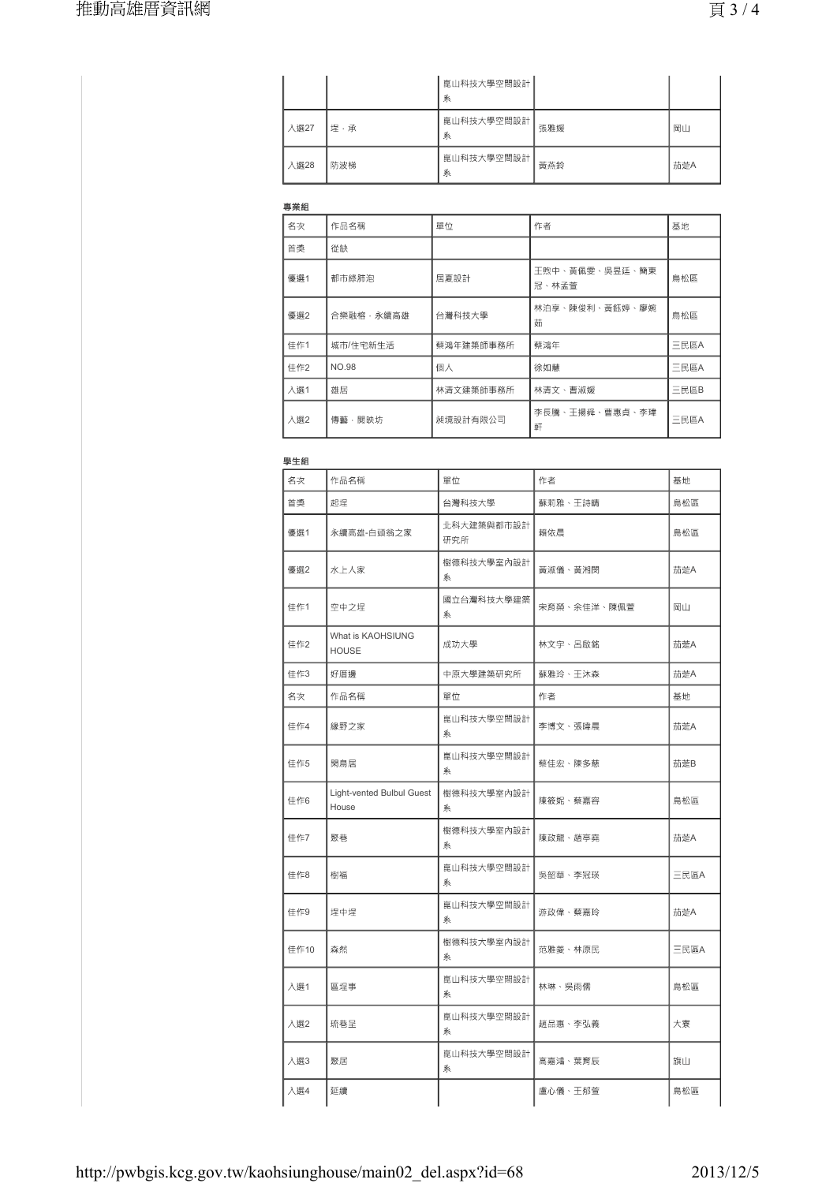|      |     | 崑山科技大學空間設計<br>系 |     |     |
|------|-----|-----------------|-----|-----|
| 人選27 | 埕·承 | 崑山科技大學空間設計<br>系 | 張雅媛 | 岡山  |
| 入選28 | 防波梯 | 崑山科技大學空間設計<br>系 | 黃燕鈴 | 茄萣A |

### 專業組

| 名次  | 作品名稱         | 單位        | 作者                      | 基地   |
|-----|--------------|-----------|-------------------------|------|
| 首獎  | 從缺           |           |                         |      |
| 優選1 | 都市綠肺泡        | 居夏設計      | 王煦中、黃佩雯、吳昱廷、簡東<br>冠、林孟萱 | 鳥松區  |
| 優選2 | 合樂融榕 · 永續高雄  | 台灣科技大學    | 林泊享、陳俊利、黃鈺婷、廖婉<br>茹     | 鳥松區  |
| 佳作1 | 城市/住宅新生活     | 蔡鴻年建築師事務所 | 蔡鴻年                     | 三民區A |
| 佳作2 | <b>NO.98</b> | 個人        | 徐如慧                     | 三民區A |
| 入選1 | 雄居           | 林清文建築師事務所 | 林清文、曹淑媛                 | 三民區B |
| 入選2 | 傳藝・閱映坊       | 昶境設計有限公司  | 李長騰、王揚舜、曹惠貞、李瑋<br>軒     | 三民區A |

| 學生組  |                                           |                   |             |      |
|------|-------------------------------------------|-------------------|-------------|------|
| 名次   | 作品名稱                                      | 單位                | 作者          | 基地   |
| 首獎   | 起埕                                        | 台灣科技大學            | 蘇莉雅、王詩晴     | 鳥松區  |
| 優選1  | 永續高雄-白頭翁之家                                | 北科大建築與都市設計<br>研究所 | 賴依晨         | 鳥松區  |
| 優選2  | 水上人家                                      | 樹德科技大學室內設計<br>系   | 黃淑儀、黃湘閔     | 茄萣A  |
| 佳作1  | 空中之埕                                      | 國立台灣科技大學建築<br>系   | 宋育榮、余佳洋、陳佩萱 | 岡山   |
| 佳作2  | What is KAOHSIUNG<br><b>HOUSE</b>         | 成功大學              | 林文宇、呂啟銘     | 茄萣A  |
| 佳作3  | 好厝邊                                       | 中原大學建築研究所         | 蘇雅玲、王沐森     | 茄萣A  |
| 名次   | 作品名稱                                      | 單位                | 作者          | 基地   |
| 佳作4  | 緣野之家                                      | 崑山科技大學空間設計<br>系   | 李博文、張暐晨     | 茄萣A  |
| 佳作5  | 閑鳥居                                       | 崑山科技大學空間設計<br>系   | 蔡佳宏、陳多慈     | 茄萣B  |
| 佳作6  | <b>Light-vented Bulbul Guest</b><br>House | 樹德科技大學室內設計<br>系   | 陳筱妮、蔡嘉容     | 鳥松區  |
| 佳作7  | 聚巷                                        | 樹德科技大學室內設計<br>系   | 陳政龍、趙亭堯     | 茄萣A  |
| 佳作8  | 樹福                                        | 崑山科技大學空間設計<br>系   | 吴韶華、李冠瑛     | 三民區A |
| 佳作9  | 埕中埕                                       | 崑山科技大學空間設計<br>系   | 游政偉、蔡嘉玲     | 茄萣A  |
| 佳作10 | 森然                                        | 樹德科技大學室內設計<br>系   | 范雅菱、林原民     | 三民區A |
| 入選1  | 區埕事                                       | 崑山科技大學空間設計<br>系   | 林琳、吳雨儒      | 鳥松區  |
| 入選2  | 琉巷呈                                       | 崑山科技大學空間設計<br>系   | 趙品惠、李弘義     | 大賽   |
| 入選3  | 聚居                                        | 崑山科技大學空間設計<br>系   | 高嘉鴻、葉育辰     | 旗山   |
| 入選4  | 延續                                        |                   | 盧心儀、王郁萱     | 鳥松區  |